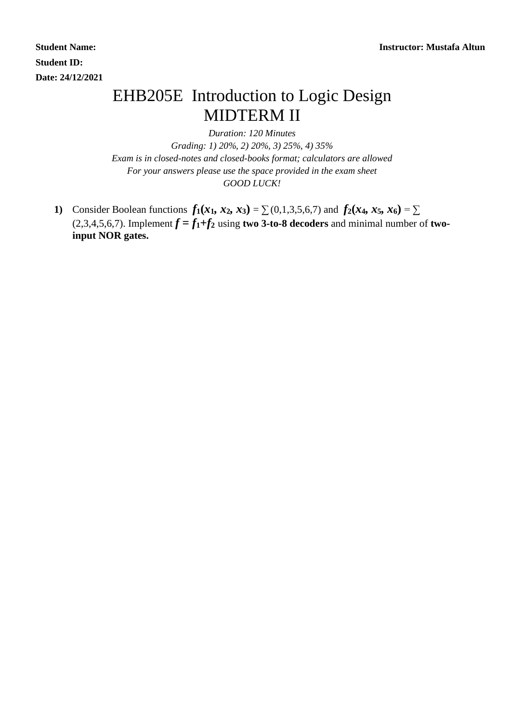**Student ID: Date: 24/12/2021**

## EHB205E Introduction to Logic Design MIDTERM II

*Duration: 120 Minutes*

*Grading: 1) 20%, 2) 20%, 3) 25%, 4) 35% Exam is in closed-notes and closed-books format; calculators are allowed For your answers please use the space provided in the exam sheet GOOD LUCK!*

1) Consider Boolean functions  $f_1(x_1, x_2, x_3) = \sum (0, 1, 3, 5, 6, 7)$  and  $f_2(x_4, x_5, x_6) = \sum$ (2,3,4,5,6,7). Implement  $f = f_1 + f_2$  using **two 3-to-8 decoders** and minimal number of **twoinput NOR gates.**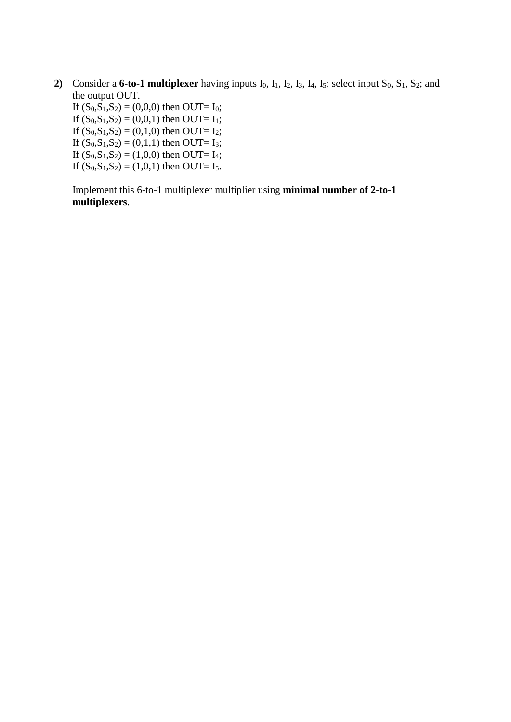**2)** Consider a **6-to-1 multiplexer** having inputs  $I_0$ ,  $I_1$ ,  $I_2$ ,  $I_3$ ,  $I_4$ ,  $I_5$ ; select input  $S_0$ ,  $S_1$ ,  $S_2$ ; and the output OUT.

If  $(S_0, S_1, S_2) = (0,0,0)$  then OUT= I<sub>0</sub>; If  $(S_0, S_1, S_2) = (0, 0, 1)$  then OUT= I<sub>1</sub>; If  $(S_0, S_1, S_2) = (0,1,0)$  then OUT= I<sub>2</sub>; If  $(S_0, S_1, S_2) = (0,1,1)$  then OUT= I<sub>3</sub>; If  $(S_0, S_1, S_2) = (1,0,0)$  then OUT= I<sub>4</sub>; If  $(S_0, S_1, S_2) = (1, 0, 1)$  then OUT= I<sub>5</sub>.

Implement this 6-to-1 multiplexer multiplier using **minimal number of 2-to-1 multiplexers**.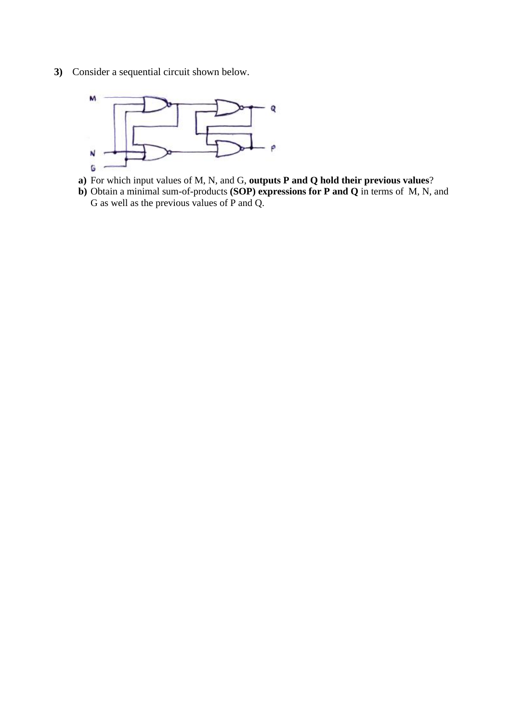**3)** Consider a sequential circuit shown below.



- **a)** For which input values of M, N, and G, **outputs P and Q hold their previous values**?
- **b)** Obtain a minimal sum-of-products **(SOP) expressions for P and Q** in terms of M, N, and G as well as the previous values of P and Q.